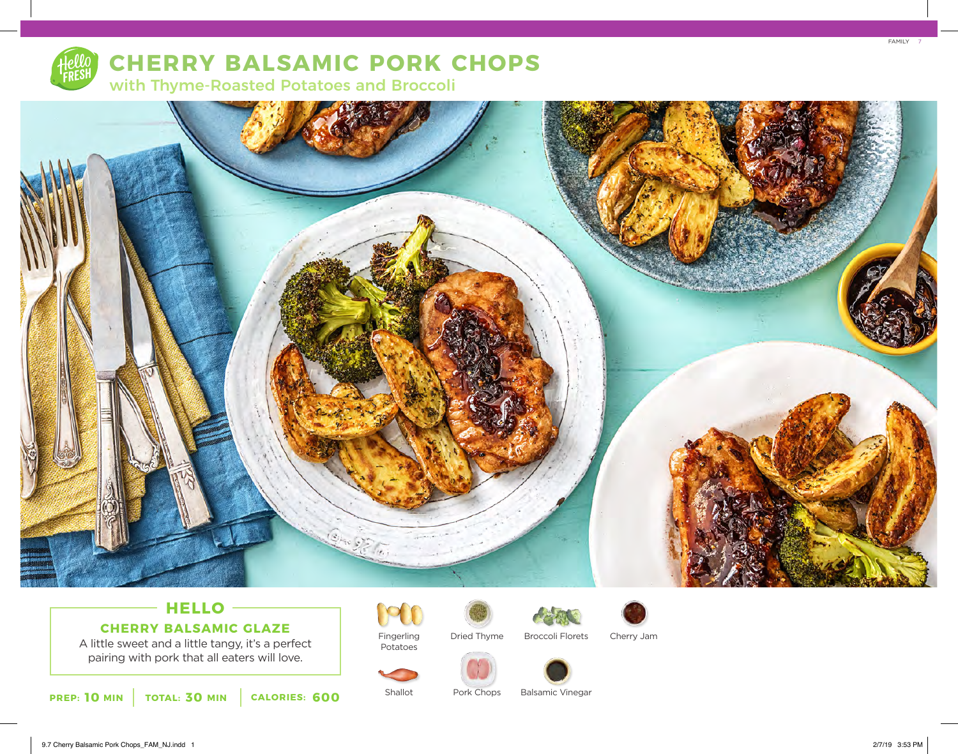

# **CHERRY BALSAMIC PORK CHOPS**

with Thyme-Roasted Potatoes and Broccoli



### **HELLO CHERRY BALSAMIC GLAZE**

A little sweet and a little tangy, it's a perfect pairing with pork that all eaters will love.

**10 30 PREP: MIN TOTAL: MIN CALORIES: 600**



Potatoes

Shallot

Dried Thyme Broccoli Florets Cherry Jam



Pork Chops Balsamic Vinegar